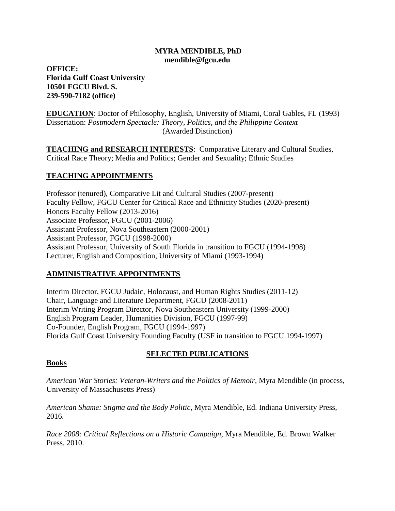## **MYRA MENDIBLE, PhD mendible@fgcu.edu**

**OFFICE: Florida Gulf Coast University 10501 FGCU Blvd. S. 239-590-7182 (office)**

**EDUCATION**: Doctor of Philosophy, English, University of Miami, Coral Gables, FL (1993) Dissertation: *Postmodern Spectacle: Theory, Politics, and the Philippine Context* (Awarded Distinction)

**TEACHING and RESEARCH INTERESTS**: Comparative Literary and Cultural Studies, Critical Race Theory; Media and Politics; Gender and Sexuality; Ethnic Studies

# **TEACHING APPOINTMENTS**

Professor (tenured), Comparative Lit and Cultural Studies (2007-present) Faculty Fellow, FGCU Center for Critical Race and Ethnicity Studies (2020-present) Honors Faculty Fellow (2013-2016) Associate Professor, FGCU (2001-2006) Assistant Professor, Nova Southeastern (2000-2001) Assistant Professor, FGCU (1998-2000) Assistant Professor, University of South Florida in transition to FGCU (1994-1998) Lecturer, English and Composition, University of Miami (1993-1994)

# **ADMINISTRATIVE APPOINTMENTS**

Interim Director, FGCU Judaic, Holocaust, and Human Rights Studies (2011-12) Chair, Language and Literature Department, FGCU (2008-2011) Interim Writing Program Director, Nova Southeastern University (1999-2000) English Program Leader, Humanities Division, FGCU (1997-99) Co-Founder, English Program, FGCU (1994-1997) Florida Gulf Coast University Founding Faculty (USF in transition to FGCU 1994-1997)

# **SELECTED PUBLICATIONS**

## **Books**

*American War Stories: Veteran-Writers and the Politics of Memoir,* Myra Mendible (in process, University of Massachusetts Press)

*American Shame: Stigma and the Body Politic,* Myra Mendible, Ed. Indiana University Press, 2016.

*Race 2008: Critical Reflections on a Historic Campaign,* Myra Mendible, Ed. Brown Walker Press, 2010.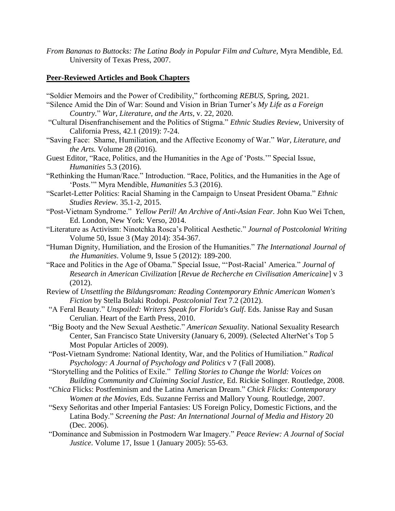*From Bananas to Buttocks: The Latina Body in Popular Film and Culture,* Myra Mendible, Ed. University of Texas Press, 2007.

## **Peer-Reviewed Articles and Book Chapters**

- "Soldier Memoirs and the Power of Credibility," forthcoming *REBUS,* Spring, 2021. "Silence Amid the Din of War: Sound and Vision in Brian Turner's *My Life as a Foreign*
	- *Country.*" *War, Literature, and the Arts*, v. 22, 2020.
- "Cultural Disenfranchisement and the Politics of Stigma." *Ethnic Studies Review*, University of California Press, 42.1 (2019): 7-24.
- "Saving Face: Shame, Humiliation, and the Affective Economy of War." *War, Literature, and the Arts.* Volume 28 (2016).
- Guest Editor, "Race, Politics, and the Humanities in the Age of 'Posts.'" Special Issue, *Humanities* 5.3 (2016).
- "Rethinking the Human/Race." Introduction. "Race, Politics, and the Humanities in the Age of 'Posts.'" Myra Mendible, *Humanities* 5.3 (2016).
- "Scarlet-Letter Politics: Racial Shaming in the Campaign to Unseat President Obama." *Ethnic Studies Review.* 35.1-2, 2015.
- "Post-Vietnam Syndrome." *Yellow Peril! An Archive of Anti-Asian Fear.* John Kuo Wei Tchen, Ed. London, New York: Verso, 2014.
- "Literature as Activism: Ninotchka Rosca's Political Aesthetic." *Journal of Postcolonial Writing* Volume 50, Issue 3 (May 2014): 354-367.
- "Human Dignity, Humiliation, and the Erosion of the Humanities." *The International Journal of the Humanities*. Volume 9, Issue 5 (2012): 189-200.
- "Race and Politics in the Age of Obama." Special Issue, "'Post-Racial' America." *Journal of Research in American Civilization* [*Revue de Recherche en Civilisation Americaine*] v 3 (2012).
- Review of *Unsettling the Bildungsroman: Reading Contemporary Ethnic American Women's Fiction* by Stella Bolaki Rodopi. *Postcolonial Text* 7.2 (2012).
- "A Feral Beauty." *Unspoiled: Writers Speak for Florida's Gulf*. Eds. Janisse Ray and Susan Cerulian. Heart of the Earth Press, 2010.
- "Big Booty and the New Sexual Aesthetic." *American Sexuality*. National Sexuality Research Center, San Francisco State University (January 6, 2009). (Selected AlterNet's Top 5 Most Popular Articles of 2009).
- "Post-Vietnam Syndrome: National Identity, War, and the Politics of Humiliation." *Radical Psychology: A Journal of Psychology and Politics* v 7 (Fall 2008).
- "Storytelling and the Politics of Exile." *Telling Stories to Change the World: Voices on Building Community and Claiming Social Justice,* Ed. Rickie Solinger. Routledge, 2008.
- "*Chica* Flicks: Postfeminism and the Latina American Dream." *Chick Flicks: Contemporary Women at the Movies,* Eds. Suzanne Ferriss and Mallory Young. Routledge, 2007.
- "Sexy Señoritas and other Imperial Fantasies: US Foreign Policy, Domestic Fictions, and the Latina Body." *Screening the Past: An International Journal of Media and History* 20 (Dec. 2006).
- "Dominance and Submission in Postmodern War Imagery." *Peace Review: A Journal of Social Justice*. Volume 17, Issue 1 (January 2005): 55-63.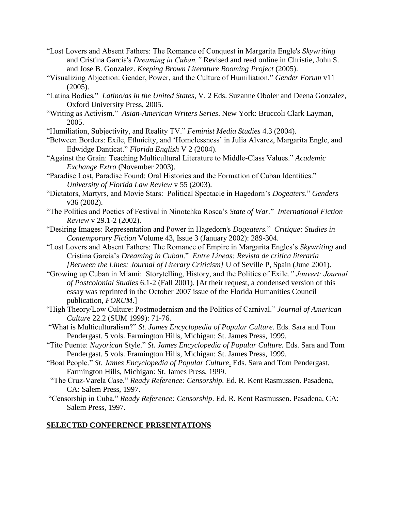- "Lost Lovers and Absent Fathers: The Romance of Conquest in Margarita Engle's *Skywriting*  and Cristina Garcia's *Dreaming in Cuban."* Revised and reed online in Christie, John S. and Jose B. Gonzalez. *Keeping Brown Literature Booming Project* (2005).
- "Visualizing Abjection: Gender, Power, and the Culture of Humiliation." *Gender Forum* v11 (2005).
- "Latina Bodies*.*" *Latino/as in the United States*, V. 2 Eds. Suzanne Oboler and Deena Gonzalez, Oxford University Press, 2005.
- "Writing as Activism." *Asian-American Writers Series*. New York: Bruccoli Clark Layman, 2005.
- "Humiliation, Subjectivity, and Reality TV." *Feminist Media Studies* 4.3 (2004).
- "Between Borders: Exile, Ethnicity, and 'Homelessness' in Julia Alvarez, Margarita Engle, and Edwidge Danticat." *Florida English* V 2 (2004).
- "Against the Grain: Teaching Multicultural Literature to Middle-Class Values." *Academic Exchange Extra* (November 2003).
- "Paradise Lost, Paradise Found: Oral Histories and the Formation of Cuban Identities." *University of Florida Law Review* v 55 (2003).
- "Dictators, Martyrs, and Movie Stars: Political Spectacle in Hagedorn's *Dogeaters*." *Genders*  v36 (2002).
- "The Politics and Poetics of Festival in Ninotchka Rosca's *State of War.*" *International Fiction Review* v 29.1-2 (2002).
- "Desiring Images: Representation and Power in Hagedorn's *Dogeaters.*" *Critique: Studies in Contemporary Fiction* Volume 43, Issue 3 (January 2002): 289-304.
- "Lost Lovers and Absent Fathers: The Romance of Empire in Margarita Engles's *Skywriting* and Cristina Garcia's *Dreaming in Cuban*." *Entre Lineas: Revista de critica literaria [Between the Lines: Journal of Literary Criticism]* U of Seville P, Spain (June 2001).
- "Growing up Cuban in Miami: Storytelling, History, and the Politics of Exile*." Jouvert: Journal of Postcolonial Studies* 6.1-2 (Fall 2001). [At their request, a condensed version of this essay was reprinted in the October 2007 issue of the Florida Humanities Council publication, *FORUM*.]
- "High Theory/Low Culture: Postmodernism and the Politics of Carnival." *Journal of American Culture* 22.2 (SUM 1999): 71-76.
- "What is Multiculturalism?" *St. James Encyclopedia of Popular Culture.* Eds. Sara and Tom Pendergast. 5 vols. Farmington Hills, Michigan: St. James Press, 1999.
- "Tito Puente: *Nuyorican* Style." *St. James Encyclopedia of Popular Culture.* Eds. Sara and Tom Pendergast. 5 vols. Framington Hills, Michigan: St. James Press, 1999.
- "Boat People." *St. James Encyclopedia of Popular Culture*. Eds. Sara and Tom Pendergast. Farmington Hills, Michigan: St. James Press, 1999.
- "The Cruz-Varela Case." *Ready Reference: Censorship.* Ed. R. Kent Rasmussen. Pasadena, CA: Salem Press, 1997.
- "Censorship in Cuba*.*" *Ready Reference: Censorship*. Ed. R. Kent Rasmussen. Pasadena, CA: Salem Press, 1997.

## **SELECTED CONFERENCE PRESENTATIONS**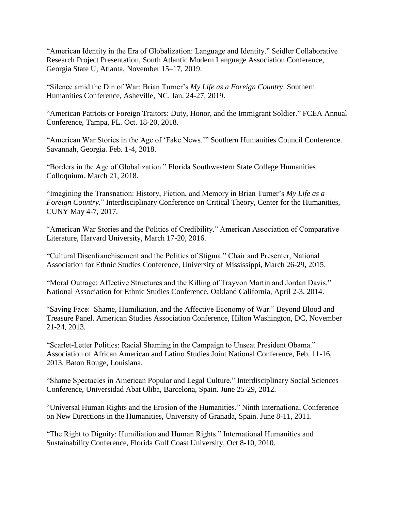"American Identity in the Era of Globalization: Language and Identity." Seidler Collaborative Research Project Presentation, South Atlantic Modern Language Association Conference, Georgia State U, Atlanta, November 15–17, 2019.

"Silence amid the Din of War: Brian Turner's *My Life as a Foreign Country*. Southern Humanities Conference, Asheville, NC. Jan. 24-27, 2019.

"American Patriots or Foreign Traitors: Duty, Honor, and the Immigrant Soldier." FCEA Annual Conference, Tampa, FL. Oct. 18-20, 2018.

"American War Stories in the Age of 'Fake News.'" Southern Humanities Council Conference. Savannah, Georgia. Feb. 1-4, 2018.

"Borders in the Age of Globalization." Florida Southwestern State College Humanities Colloquium. March 21, 2018.

"Imagining the Transnation: History, Fiction, and Memory in Brian Turner's *My Life as a Foreign Country.*" Interdisciplinary Conference on Critical Theory, Center for the Humanities, CUNY May 4-7, 2017.

"American War Stories and the Politics of Credibility." American Association of Comparative Literature, Harvard University, March 17-20, 2016.

"Cultural Disenfranchisement and the Politics of Stigma." Chair and Presenter, National Association for Ethnic Studies Conference, University of Mississippi, March 26-29, 2015.

"Moral Outrage: Affective Structures and the Killing of Trayvon Martin and Jordan Davis." National Association for Ethnic Studies Conference, Oakland California, April 2-3, 2014.

"Saving Face: Shame, Humiliation, and the Affective Economy of War." Beyond Blood and Treasure Panel. American Studies Association Conference, Hilton Washington, DC, November 21-24, 2013.

"Scarlet-Letter Politics: Racial Shaming in the Campaign to Unseat President Obama." Association of African American and Latino Studies Joint National Conference, Feb. 11-16, 2013, Baton Rouge, Louisiana.

"Shame Spectacles in American Popular and Legal Culture." Interdisciplinary Social Sciences Conference, Universidad Abat Oliba, Barcelona, Spain. June 25-29, 2012.

"Universal Human Rights and the Erosion of the Humanities." Ninth International Conference on New Directions in the Humanities, University of Granada, Spain. June 8-11, 2011.

"The Right to Dignity: Humiliation and Human Rights." International Humanities and Sustainability Conference, Florida Gulf Coast University, Oct 8-10, 2010.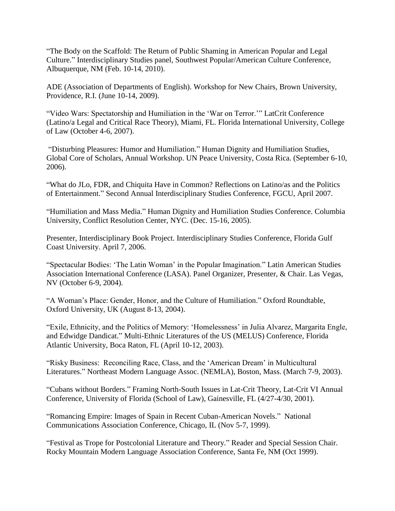"The Body on the Scaffold: The Return of Public Shaming in American Popular and Legal Culture." Interdisciplinary Studies panel, Southwest Popular/American Culture Conference, Albuquerque, NM (Feb. 10-14, 2010).

ADE (Association of Departments of English). Workshop for New Chairs, Brown University, Providence, R.I. (June 10-14, 2009).

"Video Wars: Spectatorship and Humiliation in the 'War on Terror.'" LatCrit Conference (Latino/a Legal and Critical Race Theory), Miami, FL. Florida International University, College of Law (October 4-6, 2007).

"Disturbing Pleasures: Humor and Humiliation." Human Dignity and Humiliation Studies, Global Core of Scholars, Annual Workshop. UN Peace University, Costa Rica. (September 6-10, 2006).

"What do JLo, FDR, and Chiquita Have in Common? Reflections on Latino/as and the Politics of Entertainment." Second Annual Interdisciplinary Studies Conference, FGCU, April 2007.

"Humiliation and Mass Media." Human Dignity and Humiliation Studies Conference. Columbia University, Conflict Resolution Center, NYC. (Dec. 15-16, 2005).

Presenter, Interdisciplinary Book Project. Interdisciplinary Studies Conference, Florida Gulf Coast University. April 7, 2006.

"Spectacular Bodies: 'The Latin Woman' in the Popular Imagination." Latin American Studies Association International Conference (LASA). Panel Organizer, Presenter, & Chair. Las Vegas, NV (October 6-9, 2004).

"A Woman's Place: Gender, Honor, and the Culture of Humiliation." Oxford Roundtable, Oxford University, UK (August 8-13, 2004).

"Exile, Ethnicity, and the Politics of Memory: 'Homelessness' in Julia Alvarez, Margarita Engle, and Edwidge Dandicat." Multi-Ethnic Literatures of the US (MELUS) Conference, Florida Atlantic University, Boca Raton, FL (April 10-12, 2003).

"Risky Business: Reconciling Race, Class, and the 'American Dream' in Multicultural Literatures." Northeast Modern Language Assoc. (NEMLA), Boston, Mass. (March 7-9, 2003).

"Cubans without Borders." Framing North-South Issues in Lat-Crit Theory, Lat-Crit VI Annual Conference, University of Florida (School of Law), Gainesville, FL (4/27-4/30, 2001).

"Romancing Empire: Images of Spain in Recent Cuban-American Novels." National Communications Association Conference, Chicago, IL (Nov 5-7, 1999).

"Festival as Trope for Postcolonial Literature and Theory." Reader and Special Session Chair. Rocky Mountain Modern Language Association Conference, Santa Fe, NM (Oct 1999).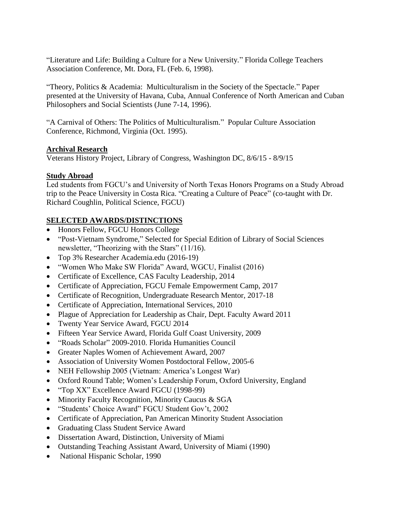"Literature and Life: Building a Culture for a New University*.*" Florida College Teachers Association Conference, Mt. Dora, FL (Feb. 6, 1998).

"Theory, Politics & Academia: Multiculturalism in the Society of the Spectacle." Paper presented at the University of Havana, Cuba, Annual Conference of North American and Cuban Philosophers and Social Scientists (June 7-14, 1996).

"A Carnival of Others: The Politics of Multiculturalism*.*" Popular Culture Association Conference, Richmond, Virginia (Oct. 1995).

## **Archival Research**

Veterans History Project, Library of Congress, Washington DC, 8/6/15 - 8/9/15

# **Study Abroad**

Led students from FGCU's and University of North Texas Honors Programs on a Study Abroad trip to the Peace University in Costa Rica. "Creating a Culture of Peace" (co-taught with Dr. Richard Coughlin, Political Science, FGCU)

# **SELECTED AWARDS/DISTINCTIONS**

- Honors Fellow, FGCU Honors College
- "Post-Vietnam Syndrome," Selected for Special Edition of Library of Social Sciences newsletter, "Theorizing with the Stars" (11/16).
- Top 3% Researcher Academia.edu (2016-19)
- "Women Who Make SW Florida" Award, WGCU, Finalist (2016)
- Certificate of Excellence, CAS Faculty Leadership, 2014
- Certificate of Appreciation, FGCU Female Empowerment Camp, 2017
- Certificate of Recognition, Undergraduate Research Mentor, 2017-18
- Certificate of Appreciation, International Services, 2010
- Plague of Appreciation for Leadership as Chair, Dept. Faculty Award 2011
- Twenty Year Service Award, FGCU 2014
- Fifteen Year Service Award, Florida Gulf Coast University, 2009
- "Roads Scholar" 2009-2010. Florida Humanities Council
- Greater Naples Women of Achievement Award, 2007
- Association of University Women Postdoctoral Fellow, 2005-6
- NEH Fellowship 2005 (Vietnam: America's Longest War)
- Oxford Round Table; Women's Leadership Forum, Oxford University, England
- "Top XX" Excellence Award FGCU (1998-99)
- Minority Faculty Recognition, Minority Caucus & SGA
- "Students' Choice Award" FGCU Student Gov't, 2002
- Certificate of Appreciation, Pan American Minority Student Association
- Graduating Class Student Service Award
- Dissertation Award, Distinction, University of Miami
- Outstanding Teaching Assistant Award, University of Miami (1990)
- National Hispanic Scholar, 1990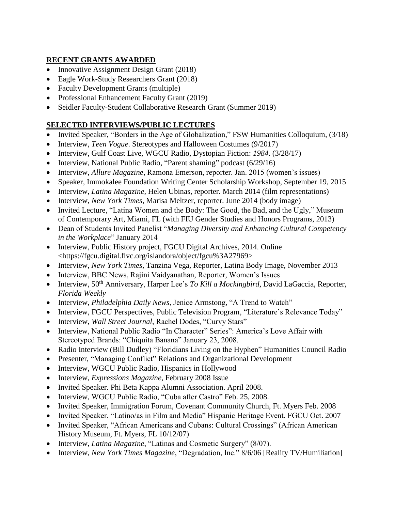## **RECENT GRANTS AWARDED**

- Innovative Assignment Design Grant (2018)
- Eagle Work-Study Researchers Grant (2018)
- Faculty Development Grants (multiple)
- Professional Enhancement Faculty Grant (2019)
- Seidler Faculty-Student Collaborative Research Grant (Summer 2019)

## **SELECTED INTERVIEWS/PUBLIC LECTURES**

- Invited Speaker, "Borders in the Age of Globalization," FSW Humanities Colloquium, (3/18)
- Interview, *Teen Vogue*. Stereotypes and Halloween Costumes (9/2017)
- Interview, Gulf Coast Live, WGCU Radio, Dystopian Fiction: *1984*. (3/28/17)
- Interview, National Public Radio, "Parent shaming" podcast (6/29/16)
- Interview, *Allure Magazine*, Ramona Emerson, reporter. Jan. 2015 (women's issues)
- Speaker, Immokalee Foundation Writing Center Scholarship Workshop, September 19, 2015
- Interview, *Latina Magazine*, Helen Ubinas, reporter. March 2014 (film representations)
- Interview, *New York Times*, Marisa Meltzer, reporter. June 2014 (body image)
- Invited Lecture, "Latina Women and the Body: The Good, the Bad, and the Ugly," Museum of Contemporary Art, Miami, FL (with FIU Gender Studies and Honors Programs, 2013)
- Dean of Students Invited Panelist "*Managing Diversity and Enhancing Cultural Competency in the Workplace*" January 2014
- Interview, Public History project, FGCU Digital Archives, 2014. Online <https://fgcu.digital.flvc.org/islandora/object/fgcu%3A27969>
- Interview, *New York Times*, Tanzina Vega, Reporter, Latina Body Image, November 2013
- Interview, BBC News, Rajini Vaidyanathan, Reporter, Women's Issues
- Interview, 50<sup>th</sup> Anniversary, Harper Lee's *To Kill a Mockingbird*, David LaGaccia, Reporter, *Florida Weekly*
- Interview, *Philadelphia Daily News*, Jenice Armstong, "A Trend to Watch"
- Interview, FGCU Perspectives, Public Television Program, "Literature's Relevance Today"
- Interview, *Wall Street Journal*, Rachel Dodes, "Curvy Stars"
- Interview, National Public Radio "In Character" Series": America's Love Affair with Stereotyped Brands: "Chiquita Banana" January 23, 2008.
- Radio Interview (Bill Dudley) "Floridians Living on the Hyphen" Humanities Council Radio
- Presenter, "Managing Conflict" Relations and Organizational Development
- Interview, WGCU Public Radio, Hispanics in Hollywood
- Interview, *Expressions Magazine*, February 2008 Issue
- Invited Speaker. Phi Beta Kappa Alumni Association. April 2008.
- Interview, WGCU Public Radio, "Cuba after Castro" Feb. 25, 2008.
- Invited Speaker, Immigration Forum, Covenant Community Church, Ft. Myers Feb. 2008
- Invited Speaker. "Latino/as in Film and Media" Hispanic Heritage Event. FGCU Oct. 2007
- Invited Speaker, "African Americans and Cubans: Cultural Crossings" (African American History Museum, Ft. Myers, FL 10/12/07)
- Interview, *Latina Magazine*, "Latinas and Cosmetic Surgery" (8/07).
- Interview, *New York Times Magazine*, "Degradation, Inc." 8/6/06 [Reality TV/Humiliation]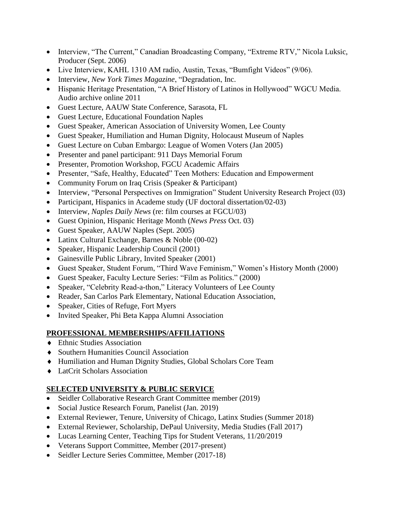- Interview, "The Current," Canadian Broadcasting Company, "Extreme RTV," Nicola Luksic, Producer (Sept. 2006)
- Live Interview, KAHL 1310 AM radio, Austin, Texas, "Bumfight Videos" (9/06).
- Interview, *New York Times Magazine*, "Degradation, Inc.
- Hispanic Heritage Presentation, "A Brief History of Latinos in Hollywood" WGCU Media. Audio archive online 2011
- Guest Lecture, AAUW State Conference, Sarasota, FL
- Guest Lecture, Educational Foundation Naples
- Guest Speaker, American Association of University Women, Lee County
- Guest Speaker, Humiliation and Human Dignity, Holocaust Museum of Naples
- Guest Lecture on Cuban Embargo: League of Women Voters (Jan 2005)
- Presenter and panel participant: 911 Days Memorial Forum
- Presenter, Promotion Workshop, FGCU Academic Affairs
- Presenter, "Safe, Healthy, Educated" Teen Mothers: Education and Empowerment
- Community Forum on Iraq Crisis (Speaker & Participant)
- Interview, "Personal Perspectives on Immigration" Student University Research Project (03)
- Participant, Hispanics in Academe study (UF doctoral dissertation/02-03)
- Interview, *Naples Daily News* (re: film courses at FGCU/03)
- Guest Opinion, Hispanic Heritage Month (*News Press* Oct. 03)
- Guest Speaker, AAUW Naples (Sept. 2005)
- Latinx Cultural Exchange, Barnes & Noble (00-02)
- Speaker, Hispanic Leadership Council (2001)
- Gainesville Public Library, Invited Speaker (2001)
- Guest Speaker, Student Forum, "Third Wave Feminism," Women's History Month (2000)
- Guest Speaker, Faculty Lecture Series: "Film as Politics." (2000)
- Speaker, "Celebrity Read-a-thon," Literacy Volunteers of Lee County
- Reader, San Carlos Park Elementary, National Education Association,
- Speaker, Cities of Refuge, Fort Myers
- Invited Speaker, Phi Beta Kappa Alumni Association

# **PROFESSIONAL MEMBERSHIPS/AFFILIATIONS**

- ◆ Ethnic Studies Association
- Southern Humanities Council Association
- Humiliation and Human Dignity Studies, Global Scholars Core Team
- LatCrit Scholars Association

# **SELECTED UNIVERSITY & PUBLIC SERVICE**

- Seidler Collaborative Research Grant Committee member (2019)
- Social Justice Research Forum, Panelist (Jan. 2019)
- External Reviewer, Tenure, University of Chicago, Latinx Studies (Summer 2018)
- External Reviewer, Scholarship, DePaul University, Media Studies (Fall 2017)
- Lucas Learning Center, Teaching Tips for Student Veterans, 11/20/2019
- Veterans Support Committee, Member (2017-present)
- Seidler Lecture Series Committee, Member (2017-18)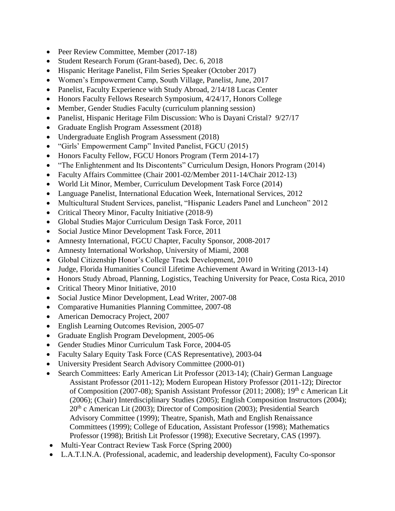- Peer Review Committee, Member (2017-18)
- Student Research Forum (Grant-based), Dec. 6, 2018
- Hispanic Heritage Panelist, Film Series Speaker (October 2017)
- Women's Empowerment Camp, South Village, Panelist, June, 2017
- Panelist, Faculty Experience with Study Abroad, 2/14/18 Lucas Center
- Honors Faculty Fellows Research Symposium,  $4/24/17$ , Honors College
- Member, Gender Studies Faculty (curriculum planning session)
- Panelist, Hispanic Heritage Film Discussion: Who is Dayani Cristal? 9/27/17
- Graduate English Program Assessment (2018)
- Undergraduate English Program Assessment (2018)
- "Girls' Empowerment Camp" Invited Panelist, FGCU (2015)
- Honors Faculty Fellow, FGCU Honors Program (Term 2014-17)
- "The Enlightenment and Its Discontents" Curriculum Design, Honors Program (2014)
- Faculty Affairs Committee (Chair 2001-02/Member 2011-14/Chair 2012-13)
- World Lit Minor, Member, Curriculum Development Task Force (2014)
- Language Panelist, International Education Week, International Services, 2012
- Multicultural Student Services, panelist, "Hispanic Leaders Panel and Luncheon" 2012
- Critical Theory Minor, Faculty Initiative (2018-9)
- Global Studies Major Curriculum Design Task Force, 2011
- Social Justice Minor Development Task Force, 2011
- Amnesty International, FGCU Chapter, Faculty Sponsor, 2008-2017
- Amnesty International Workshop, University of Miami, 2008
- Global Citizenship Honor's College Track Development, 2010
- Judge, Florida Humanities Council Lifetime Achievement Award in Writing (2013-14)
- Honors Study Abroad, Planning, Logistics, Teaching University for Peace, Costa Rica, 2010
- Critical Theory Minor Initiative, 2010
- Social Justice Minor Development, Lead Writer, 2007-08
- Comparative Humanities Planning Committee, 2007-08
- American Democracy Project, 2007
- English Learning Outcomes Revision, 2005-07
- Graduate English Program Development, 2005-06
- Gender Studies Minor Curriculum Task Force, 2004-05
- Faculty Salary Equity Task Force (CAS Representative), 2003-04
- University President Search Advisory Committee (2000-01)
- Search Committees: Early American Lit Professor (2013-14); (Chair) German Language Assistant Professor (2011-12); Modern European History Professor (2011-12); Director of Composition (2007-08); Spanish Assistant Professor (2011; 2008); 19<sup>th</sup> c American Lit (2006); (Chair) Interdisciplinary Studies (2005); English Composition Instructors (2004); 20<sup>th</sup> c American Lit (2003); Director of Composition (2003); Presidential Search Advisory Committee (1999); Theatre, Spanish, Math and English Renaissance Committees (1999); College of Education, Assistant Professor (1998); Mathematics Professor (1998); British Lit Professor (1998); Executive Secretary, CAS (1997).
- Multi-Year Contract Review Task Force (Spring 2000)
- L.A.T.I.N.A. (Professional, academic, and leadership development), Faculty Co-sponsor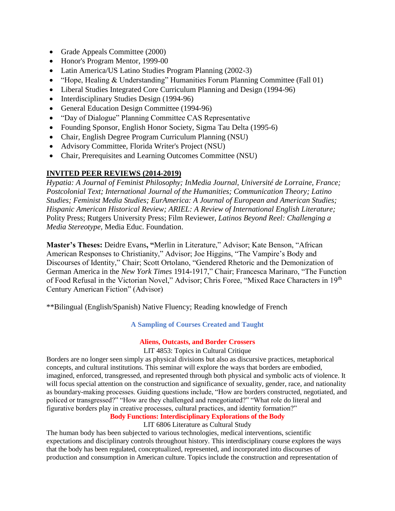- Grade Appeals Committee (2000)
- Honor's Program Mentor, 1999-00
- Latin America/US Latino Studies Program Planning (2002-3)
- "Hope, Healing & Understanding" Humanities Forum Planning Committee (Fall 01)
- Liberal Studies Integrated Core Curriculum Planning and Design (1994-96)
- Interdisciplinary Studies Design (1994-96)
- General Education Design Committee (1994-96)
- "Day of Dialogue" Planning Committee CAS Representative
- Founding Sponsor, English Honor Society, Sigma Tau Delta (1995-6)
- Chair, English Degree Program Curriculum Planning (NSU)
- Advisory Committee, Florida Writer's Project (NSU)
- Chair, Prerequisites and Learning Outcomes Committee (NSU)

# **INVITED PEER REVIEWS (2014-2019)**

*Hypatia: A Journal of Feminist Philosophy; InMedia Journal, Université de Lorraine, France; Postcolonial Text; International Journal of the Humanities; Communication Theory; Latino Studies; Feminist Media Studies; EurAmerica: A Journal of European and American Studies; Hispanic American Historical Review; ARIEL: A Review of International English Literature;*  Polity Press; Rutgers University Press; Film Reviewer, *Latinos Beyond Reel: Challenging a Media Stereotype,* Media Educ. Foundation.

**Master's Theses:** Deidre Evans**, "**Merlin in Literature," Advisor; Kate Benson, "African American Responses to Christianity," Advisor; Joe Higgins, "The Vampire's Body and Discourses of Identity," Chair; Scott Ortolano, "Gendered Rhetoric and the Demonization of German America in the *New York Times* 1914-1917," Chair; Francesca Marinaro, "The Function of Food Refusal in the Victorian Novel," Advisor; Chris Foree, "Mixed Race Characters in 19th Century American Fiction" (Advisor)

\*\*Bilingual (English/Spanish) Native Fluency; Reading knowledge of French

**A Sampling of Courses Created and Taught** 

## **Aliens, Outcasts, and Border Crossers**

## LIT 4853: Topics in Cultural Critique

Borders are no longer seen simply as physical divisions but also as discursive practices, metaphorical concepts, and cultural institutions. This seminar will explore the ways that borders are embodied, imagined, enforced, transgressed, and represented through both physical and symbolic acts of violence. It will focus special attention on the construction and significance of sexuality, gender, race, and nationality as boundary-making processes. Guiding questions include, "How are borders constructed, negotiated, and policed or transgressed?" "How are they challenged and renegotiated?" "What role do literal and figurative borders play in creative processes, cultural practices, and identity formation?"

**Body Functions: Interdisciplinary Explorations of the Body**

LIT 6806 Literature as Cultural Study

The human body has been subjected to various technologies, medical interventions, scientific expectations and disciplinary controls throughout history. This interdisciplinary course explores the ways that the body has been regulated, conceptualized, represented, and incorporated into discourses of production and consumption in American culture. Topics include the construction and representation of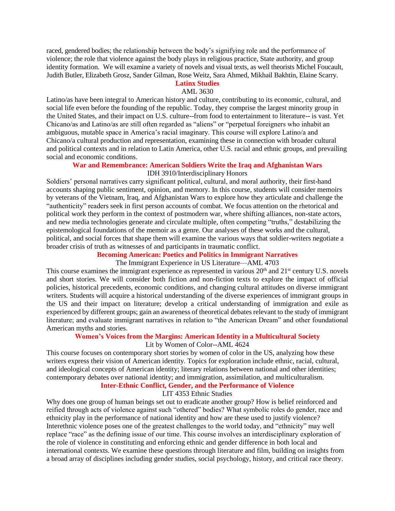raced, gendered bodies; the relationship between the body's signifying role and the performance of violence; the role that violence against the body plays in religious practice, State authority, and group identity formation. We will examine a variety of novels and visual texts, as well theorists Michel Foucault, Judith Butler, Elizabeth Grosz, Sander Gilman, Rose Weitz, Sara Ahmed, Mikhail Bakhtin, Elaine Scarry.

### **Latinx Studies**

#### AML 3630

Latino/as have been integral to American history and culture, contributing to its economic, cultural, and social life even before the founding of the republic. Today, they comprise the largest minority group in the United States, and their impact on U.S. culture--from food to entertainment to literature-- is vast. Yet Chicano/as and Latino/as are still often regarded as "aliens" or "perpetual foreigners who inhabit an ambiguous, mutable space in America's racial imaginary. This course will explore Latino/a and Chicano/a cultural production and representation, examining these in connection with broader cultural and political contexts and in relation to Latin America, other U.S. racial and ethnic groups, and prevailing social and economic conditions.

### **War and Remembrance: American Soldiers Write the Iraq and Afghanistan Wars** IDH 3910/Interdisciplinary Honors

Soldiers' personal narratives carry significant political, cultural, and moral authority, their first-hand accounts shaping public sentiment, opinion, and memory. In this course, students will consider memoirs by veterans of the Vietnam, Iraq, and Afghanistan Wars to explore how they articulate and challenge the "authenticity" readers seek in first person accounts of combat. We focus attention on the rhetorical and political work they perform in the context of postmodern war, where shifting alliances, non-state actors, and new media technologies generate and circulate multiple, often competing "truths," destabilizing the epistemological foundations of the memoir as a genre. Our analyses of these works and the cultural, political, and social forces that shape them will examine the various ways that soldier-writers negotiate a broader crisis of truth as witnesses of and participants in traumatic conflict.

### **Becoming American: Poetics and Politics in Immigrant Narratives**

### The Immigrant Experience in US Literature—AML 4703

This course examines the immigrant experience as represented in various  $20<sup>th</sup>$  and  $21<sup>st</sup>$  century U.S. novels and short stories. We will consider both fiction and non-fiction texts to explore the impact of official policies, historical precedents, economic conditions, and changing cultural attitudes on diverse immigrant writers. Students will acquire a historical understanding of the diverse experiences of immigrant groups in the US and their impact on literature; develop a critical understanding of immigration and exile as experienced by different groups; gain an awareness of theoretical debates relevant to the study of immigrant literature; and evaluate immigrant narratives in relation to "the American Dream" and other foundational American myths and stories.

#### **Women's Voices from the Margins: American Identity in a Multicultural Society**

### Lit by Women of Color--AML 4624

This course focuses on contemporary short stories by women of color in the US, analyzing how these writers express their vision of American identity. Topics for exploration include ethnic, racial, cultural, and ideological concepts of American identity; literary relations between national and other identities; contemporary debates over national identity; and immigration, assimilation, and multiculturalism.

# **Inter-Ethnic Conflict, Gender, and the Performance of Violence**

## LIT 4353 Ethnic Studies

Why does one group of human beings set out to eradicate another group? How is belief reinforced and reified through acts of violence against such "othered" bodies? What symbolic roles do gender, race and ethnicity play in the performance of national identity and how are these used to justify violence? Interethnic violence poses one of the greatest challenges to the world today, and "ethnicity" may well replace "race" as the defining issue of our time. This course involves an interdisciplinary exploration of the role of violence in constituting and enforcing ethnic and gender difference in both local and international contexts. We examine these questions through literature and film, building on insights from a broad array of disciplines including gender studies, social psychology, history, and critical race theory.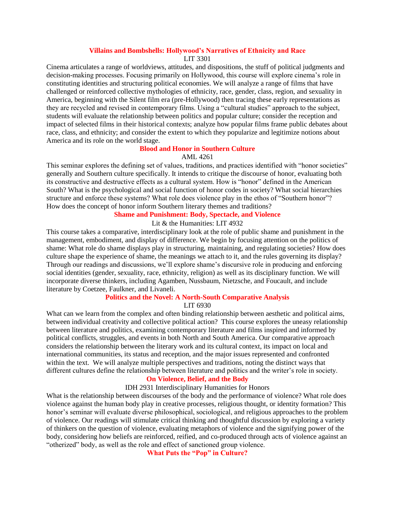### **Villains and Bombshells: Hollywood's Narratives of Ethnicity and Race**

LIT 3301

Cinema articulates a range of worldviews, attitudes, and dispositions, the stuff of political judgments and decision-making processes. Focusing primarily on Hollywood, this course will explore cinema's role in constituting identities and structuring political economies. We will analyze a range of films that have challenged or reinforced collective mythologies of ethnicity, race, gender, class, region, and sexuality in America, beginning with the Silent film era (pre-Hollywood) then tracing these early representations as they are recycled and revised in contemporary films. Using a "cultural studies" approach to the subject, students will evaluate the relationship between politics and popular culture; consider the reception and impact of selected films in their historical contexts; analyze how popular films frame public debates about race, class, and ethnicity; and consider the extent to which they popularize and legitimize notions about America and its role on the world stage.

### **Blood and Honor in Southern Culture**

### AML 4261

This seminar explores the defining set of values, traditions, and practices identified with "honor societies" generally and Southern culture specifically. It intends to critique the discourse of honor, evaluating both its constructive and destructive effects as a cultural system. How is "honor" defined in the American South? What is the psychological and social function of honor codes in society? What social hierarchies structure and enforce these systems? What role does violence play in the ethos of "Southern honor"? How does the concept of honor inform Southern literary themes and traditions?

### **Shame and Punishment: Body, Spectacle, and Violence**

### Lit & the Humanities: LIT 4932

This course takes a comparative, interdisciplinary look at the role of public shame and punishment in the management, embodiment, and display of difference. We begin by focusing attention on the politics of shame: What role do shame displays play in structuring, maintaining, and regulating societies? How does culture shape the experience of shame, the meanings we attach to it, and the rules governing its display? Through our readings and discussions, we'll explore shame's discursive role in producing and enforcing social identities (gender, sexuality, race, ethnicity, religion) as well as its disciplinary function. We will incorporate diverse thinkers, including Agamben, Nussbaum, Nietzsche, and Foucault, and include literature by Coetzee, Faulkner, and Livaneli.

## **Politics and the Novel: A North-South Comparative Analysis**

LIT 6930

What can we learn from the complex and often binding relationship between aesthetic and political aims, between individual creativity and collective political action? This course explores the uneasy relationship between literature and politics, examining contemporary literature and films inspired and informed by political conflicts, struggles, and events in both North and South America. Our comparative approach considers the relationship between the literary work and its cultural context, its impact on local and international communities, its status and reception, and the major issues represented and confronted within the text. We will analyze multiple perspectives and traditions, noting the distinct ways that different cultures define the relationship between literature and politics and the writer's role in society.

### **On Violence, Belief, and the Body**

#### IDH 2931 Interdisciplinary Humanities for Honors

What is the relationship between discourses of the body and the performance of violence? What role does violence against the human body play in creative processes, religious thought, or identity formation? This honor's seminar will evaluate diverse philosophical, sociological, and religious approaches to the problem of violence. Our readings will stimulate critical thinking and thoughtful discussion by exploring a variety of thinkers on the question of violence, evaluating metaphors of violence and the signifying power of the body, considering how beliefs are reinforced, reified, and co-produced through acts of violence against an "otherized" body, as well as the role and effect of sanctioned group violence.

**What Puts the "Pop" in Culture?**